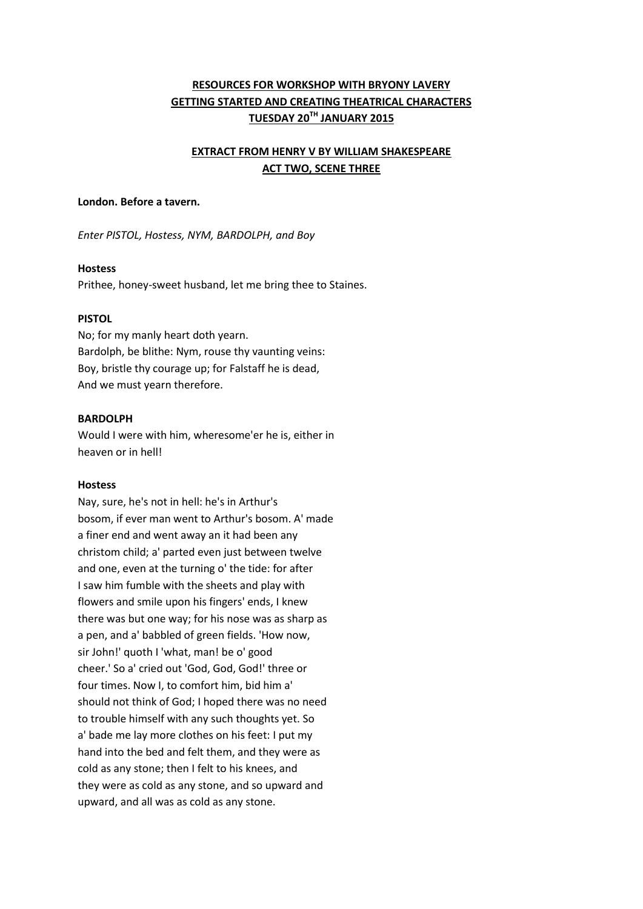# **RESOURCES FOR WORKSHOP WITH BRYONY LAVERY GETTING STARTED AND CREATING THEATRICAL CHARACTERS TUESDAY 20TH JANUARY 2015**

# **EXTRACT FROM HENRY V BY WILLIAM SHAKESPEARE ACT TWO, SCENE THREE**

#### **London. Before a tavern.**

*Enter PISTOL, Hostess, NYM, BARDOLPH, and Boy*

#### **Hostess**

Prithee, honey-sweet husband, let me bring thee to Staines.

#### **PISTOL**

No; for my manly heart doth yearn. Bardolph, be blithe: Nym, rouse thy vaunting veins: Boy, bristle thy courage up; for Falstaff he is dead, And we must yearn therefore.

### **BARDOLPH**

Would I were with him, wheresome'er he is, either in heaven or in hell!

#### **Hostess**

Nay, sure, he's not in hell: he's in Arthur's bosom, if ever man went to Arthur's bosom. A' made a finer end and went away an it had been any christom child; a' parted even just between twelve and one, even at the turning o' the tide: for after I saw him fumble with the sheets and play with flowers and smile upon his fingers' ends, I knew there was but one way; for his nose was as sharp as a pen, and a' babbled of green fields. 'How now, sir John!' quoth I 'what, man! be o' good cheer.' So a' cried out 'God, God, God!' three or four times. Now I, to comfort him, bid him a' should not think of God; I hoped there was no need to trouble himself with any such thoughts yet. So a' bade me lay more clothes on his feet: I put my hand into the bed and felt them, and they were as cold as any stone; then I felt to his knees, and they were as cold as any stone, and so upward and upward, and all was as cold as any stone.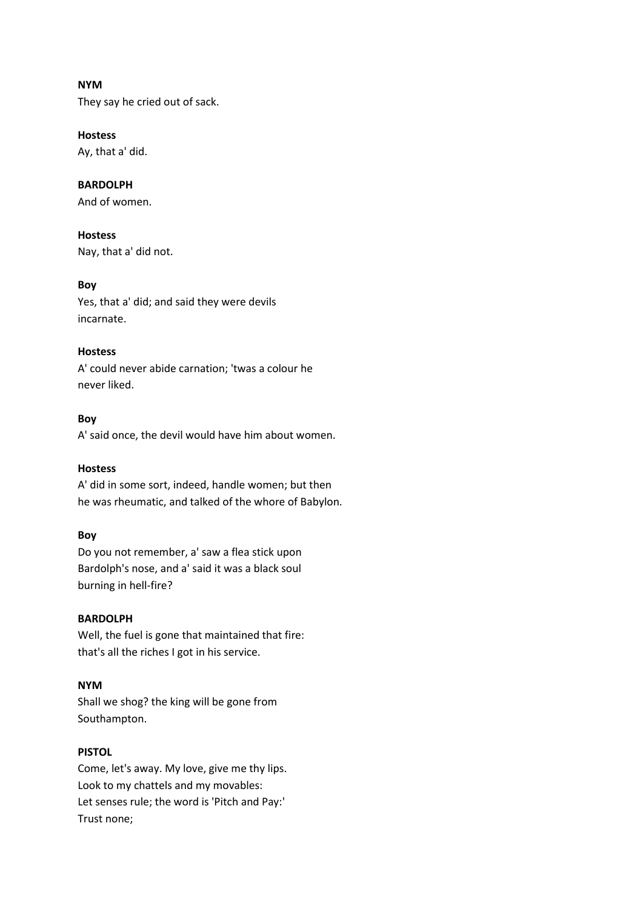### **NYM**

They say he cried out of sack.

### **Hostess**

Ay, that a' did.

# **BARDOLPH**

And of women.

# **Hostess**

Nay, that a' did not.

# **Boy**

Yes, that a' did; and said they were devils incarnate.

# **Hostess**

A' could never abide carnation; 'twas a colour he never liked.

# **Boy**

A' said once, the devil would have him about women.

# **Hostess**

A' did in some sort, indeed, handle women; but then he was rheumatic, and talked of the whore of Babylon.

# **Boy**

Do you not remember, a' saw a flea stick upon Bardolph's nose, and a' said it was a black soul burning in hell-fire?

# **BARDOLPH**

Well, the fuel is gone that maintained that fire: that's all the riches I got in his service.

# **NYM**

Shall we shog? the king will be gone from Southampton.

## **PISTOL**

Come, let's away. My love, give me thy lips. Look to my chattels and my movables: Let senses rule; the word is 'Pitch and Pay:' Trust none;